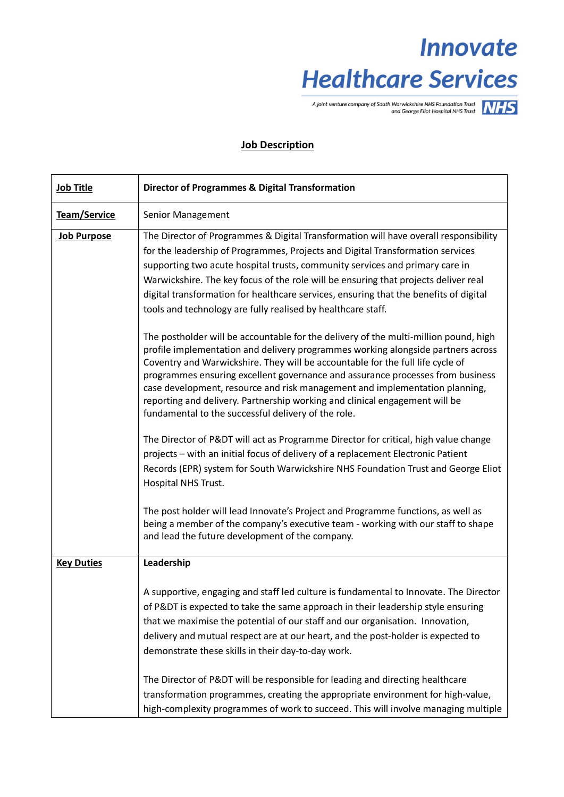# **Innovate Healthcare Services**

A joint venture company of South Warwickshire NHS Foundation Trust<br>and George Eliot Hospital NHS Trust

### **Job Description**

| <b>Job Title</b>   | <b>Director of Programmes &amp; Digital Transformation</b>                                                                                                                                                                                                                                                                                                                                                                                                                                                                                                        |  |  |  |
|--------------------|-------------------------------------------------------------------------------------------------------------------------------------------------------------------------------------------------------------------------------------------------------------------------------------------------------------------------------------------------------------------------------------------------------------------------------------------------------------------------------------------------------------------------------------------------------------------|--|--|--|
| Team/Service       | Senior Management                                                                                                                                                                                                                                                                                                                                                                                                                                                                                                                                                 |  |  |  |
| <b>Job Purpose</b> | The Director of Programmes & Digital Transformation will have overall responsibility<br>for the leadership of Programmes, Projects and Digital Transformation services<br>supporting two acute hospital trusts, community services and primary care in<br>Warwickshire. The key focus of the role will be ensuring that projects deliver real<br>digital transformation for healthcare services, ensuring that the benefits of digital<br>tools and technology are fully realised by healthcare staff.                                                            |  |  |  |
|                    | The postholder will be accountable for the delivery of the multi-million pound, high<br>profile implementation and delivery programmes working alongside partners across<br>Coventry and Warwickshire. They will be accountable for the full life cycle of<br>programmes ensuring excellent governance and assurance processes from business<br>case development, resource and risk management and implementation planning,<br>reporting and delivery. Partnership working and clinical engagement will be<br>fundamental to the successful delivery of the role. |  |  |  |
|                    | The Director of P&DT will act as Programme Director for critical, high value change<br>projects - with an initial focus of delivery of a replacement Electronic Patient<br>Records (EPR) system for South Warwickshire NHS Foundation Trust and George Eliot<br>Hospital NHS Trust.                                                                                                                                                                                                                                                                               |  |  |  |
|                    | The post holder will lead Innovate's Project and Programme functions, as well as<br>being a member of the company's executive team - working with our staff to shape<br>and lead the future development of the company.                                                                                                                                                                                                                                                                                                                                           |  |  |  |
| <b>Key Duties</b>  | Leadership                                                                                                                                                                                                                                                                                                                                                                                                                                                                                                                                                        |  |  |  |
|                    | A supportive, engaging and staff led culture is fundamental to Innovate. The Director<br>of P&DT is expected to take the same approach in their leadership style ensuring<br>that we maximise the potential of our staff and our organisation. Innovation,<br>delivery and mutual respect are at our heart, and the post-holder is expected to<br>demonstrate these skills in their day-to-day work.                                                                                                                                                              |  |  |  |
|                    | The Director of P&DT will be responsible for leading and directing healthcare<br>transformation programmes, creating the appropriate environment for high-value,<br>high-complexity programmes of work to succeed. This will involve managing multiple                                                                                                                                                                                                                                                                                                            |  |  |  |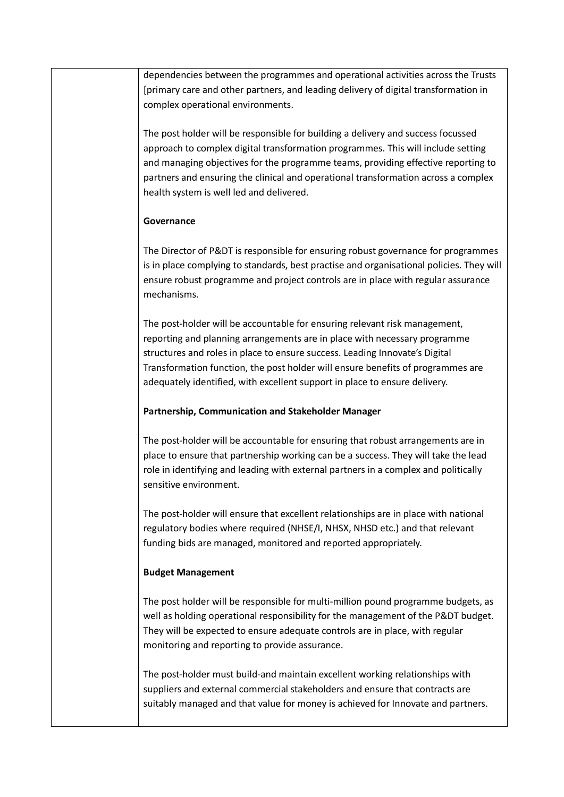dependencies between the programmes and operational activities across the Trusts [primary care and other partners, and leading delivery of digital transformation in complex operational environments.

The post holder will be responsible for building a delivery and success focussed approach to complex digital transformation programmes. This will include setting and managing objectives for the programme teams, providing effective reporting to partners and ensuring the clinical and operational transformation across a complex health system is well led and delivered.

#### **Governance**

The Director of P&DT is responsible for ensuring robust governance for programmes is in place complying to standards, best practise and organisational policies. They will ensure robust programme and project controls are in place with regular assurance mechanisms.

The post-holder will be accountable for ensuring relevant risk management, reporting and planning arrangements are in place with necessary programme structures and roles in place to ensure success. Leading Innovate's Digital Transformation function, the post holder will ensure benefits of programmes are adequately identified, with excellent support in place to ensure delivery.

#### **Partnership, Communication and Stakeholder Manager**

The post-holder will be accountable for ensuring that robust arrangements are in place to ensure that partnership working can be a success. They will take the lead role in identifying and leading with external partners in a complex and politically sensitive environment.

The post-holder will ensure that excellent relationships are in place with national regulatory bodies where required (NHSE/I, NHSX, NHSD etc.) and that relevant funding bids are managed, monitored and reported appropriately.

#### **Budget Management**

The post holder will be responsible for multi-million pound programme budgets, as well as holding operational responsibility for the management of the P&DT budget. They will be expected to ensure adequate controls are in place, with regular monitoring and reporting to provide assurance.

The post-holder must build-and maintain excellent working relationships with suppliers and external commercial stakeholders and ensure that contracts are suitably managed and that value for money is achieved for Innovate and partners.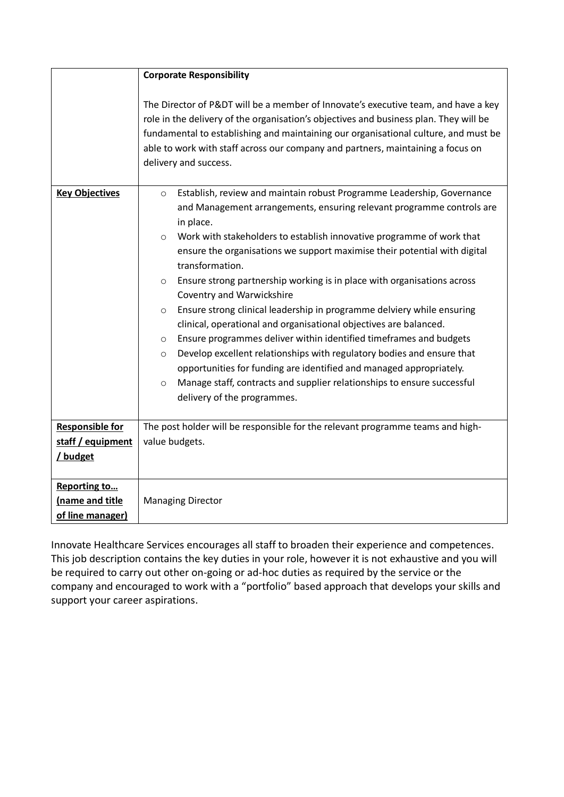|                        | <b>Corporate Responsibility</b>                                                                                                                                                                                                                                                                                                                                                                                                                                                                                                                                                                                                                                                                                                                                                                                                                                                                                                                                                                            |  |  |  |  |  |  |
|------------------------|------------------------------------------------------------------------------------------------------------------------------------------------------------------------------------------------------------------------------------------------------------------------------------------------------------------------------------------------------------------------------------------------------------------------------------------------------------------------------------------------------------------------------------------------------------------------------------------------------------------------------------------------------------------------------------------------------------------------------------------------------------------------------------------------------------------------------------------------------------------------------------------------------------------------------------------------------------------------------------------------------------|--|--|--|--|--|--|
|                        | The Director of P&DT will be a member of Innovate's executive team, and have a key<br>role in the delivery of the organisation's objectives and business plan. They will be<br>fundamental to establishing and maintaining our organisational culture, and must be<br>able to work with staff across our company and partners, maintaining a focus on<br>delivery and success.                                                                                                                                                                                                                                                                                                                                                                                                                                                                                                                                                                                                                             |  |  |  |  |  |  |
| <b>Key Objectives</b>  | Establish, review and maintain robust Programme Leadership, Governance<br>$\circ$<br>and Management arrangements, ensuring relevant programme controls are<br>in place.<br>Work with stakeholders to establish innovative programme of work that<br>$\circ$<br>ensure the organisations we support maximise their potential with digital<br>transformation.<br>Ensure strong partnership working is in place with organisations across<br>$\circ$<br>Coventry and Warwickshire<br>Ensure strong clinical leadership in programme delviery while ensuring<br>$\circ$<br>clinical, operational and organisational objectives are balanced.<br>Ensure programmes deliver within identified timeframes and budgets<br>$\circ$<br>Develop excellent relationships with regulatory bodies and ensure that<br>$\circ$<br>opportunities for funding are identified and managed appropriately.<br>Manage staff, contracts and supplier relationships to ensure successful<br>$\circ$<br>delivery of the programmes. |  |  |  |  |  |  |
| <b>Responsible for</b> | The post holder will be responsible for the relevant programme teams and high-                                                                                                                                                                                                                                                                                                                                                                                                                                                                                                                                                                                                                                                                                                                                                                                                                                                                                                                             |  |  |  |  |  |  |
| staff / equipment      | value budgets.                                                                                                                                                                                                                                                                                                                                                                                                                                                                                                                                                                                                                                                                                                                                                                                                                                                                                                                                                                                             |  |  |  |  |  |  |
| / budget               |                                                                                                                                                                                                                                                                                                                                                                                                                                                                                                                                                                                                                                                                                                                                                                                                                                                                                                                                                                                                            |  |  |  |  |  |  |
| Reporting to           |                                                                                                                                                                                                                                                                                                                                                                                                                                                                                                                                                                                                                                                                                                                                                                                                                                                                                                                                                                                                            |  |  |  |  |  |  |
| Iname and title        | <b>Managing Director</b>                                                                                                                                                                                                                                                                                                                                                                                                                                                                                                                                                                                                                                                                                                                                                                                                                                                                                                                                                                                   |  |  |  |  |  |  |
| of line manager)       |                                                                                                                                                                                                                                                                                                                                                                                                                                                                                                                                                                                                                                                                                                                                                                                                                                                                                                                                                                                                            |  |  |  |  |  |  |

Innovate Healthcare Services encourages all staff to broaden their experience and competences. This job description contains the key duties in your role, however it is not exhaustive and you will be required to carry out other on-going or ad-hoc duties as required by the service or the company and encouraged to work with a "portfolio" based approach that develops your skills and support your career aspirations.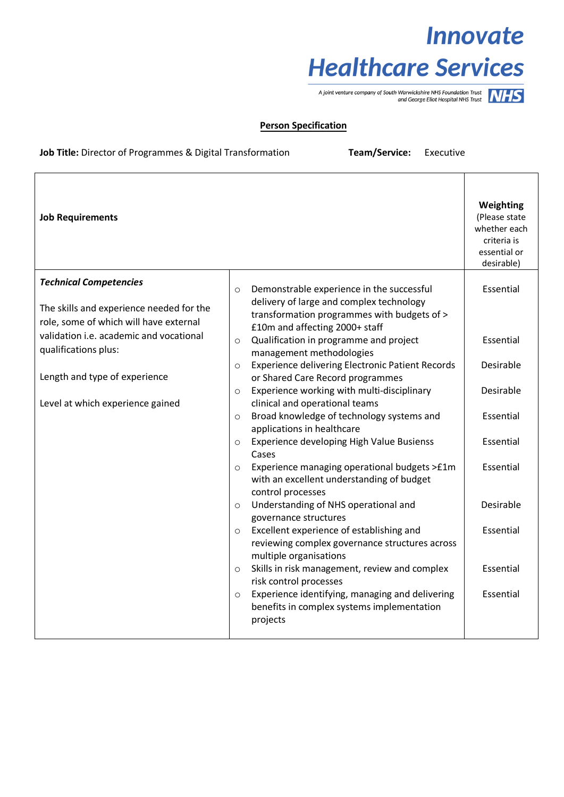## **Innovate Healthcare Services**

A joint venture company of South Warwickshire NHS Foundation Trust<br>and George Eliot Hospital NHS Trust



#### **Person Specification**

#### **Job Title:** Director of Programmes & Digital Transformation **Team/Service:** Executive

| <b>Job Requirements</b>                                                            |         |                                                                                                                           | Weighting<br>(Please state<br>whether each<br>criteria is<br>essential or<br>desirable) |
|------------------------------------------------------------------------------------|---------|---------------------------------------------------------------------------------------------------------------------------|-----------------------------------------------------------------------------------------|
| <b>Technical Competencies</b>                                                      | $\circ$ | Demonstrable experience in the successful                                                                                 | Essential                                                                               |
| The skills and experience needed for the<br>role, some of which will have external |         | delivery of large and complex technology<br>transformation programmes with budgets of ><br>£10m and affecting 2000+ staff |                                                                                         |
| validation i.e. academic and vocational<br>qualifications plus:                    | $\circ$ | Qualification in programme and project<br>management methodologies                                                        | Essential                                                                               |
| Length and type of experience                                                      | $\circ$ | <b>Experience delivering Electronic Patient Records</b><br>or Shared Care Record programmes                               | Desirable                                                                               |
| Level at which experience gained                                                   | $\circ$ | Experience working with multi-disciplinary<br>clinical and operational teams                                              | Desirable                                                                               |
|                                                                                    | $\circ$ | Broad knowledge of technology systems and<br>applications in healthcare                                                   | Essential                                                                               |
|                                                                                    | $\circ$ | Experience developing High Value Busienss<br>Cases                                                                        | Essential                                                                               |
|                                                                                    | $\circ$ | Experience managing operational budgets >£1m<br>with an excellent understanding of budget<br>control processes            | Essential                                                                               |
|                                                                                    | $\circ$ | Understanding of NHS operational and<br>governance structures                                                             | Desirable                                                                               |
|                                                                                    | $\circ$ | Excellent experience of establishing and<br>reviewing complex governance structures across<br>multiple organisations      | Essential                                                                               |
|                                                                                    | $\circ$ | Skills in risk management, review and complex<br>risk control processes                                                   | Essential                                                                               |
|                                                                                    | $\circ$ | Experience identifying, managing and delivering<br>benefits in complex systems implementation<br>projects                 | Essential                                                                               |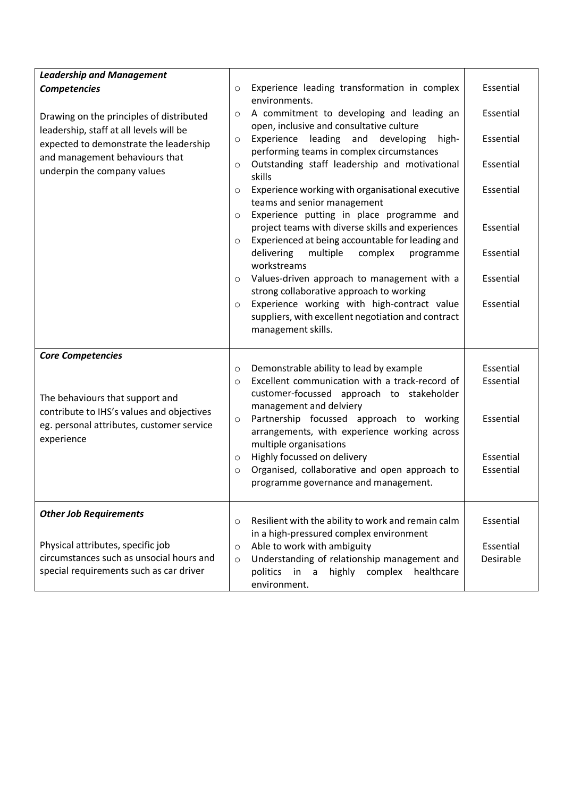| <b>Leadership and Management</b>                                                                                                                                                               |                    |                                                                              |           |
|------------------------------------------------------------------------------------------------------------------------------------------------------------------------------------------------|--------------------|------------------------------------------------------------------------------|-----------|
| <b>Competencies</b>                                                                                                                                                                            | $\circ$            | Experience leading transformation in complex                                 | Essential |
|                                                                                                                                                                                                |                    | environments.                                                                |           |
| Drawing on the principles of distributed<br>leadership, staff at all levels will be<br>expected to demonstrate the leadership<br>and management behaviours that<br>underpin the company values |                    | A commitment to developing and leading an                                    | Essential |
|                                                                                                                                                                                                |                    | open, inclusive and consultative culture                                     |           |
|                                                                                                                                                                                                |                    | leading and<br>developing<br>Experience<br>high-                             | Essential |
|                                                                                                                                                                                                |                    | performing teams in complex circumstances                                    |           |
|                                                                                                                                                                                                |                    | Outstanding staff leadership and motivational<br>skills                      | Essential |
|                                                                                                                                                                                                | $\circ$            | Experience working with organisational executive                             | Essential |
|                                                                                                                                                                                                |                    | teams and senior management                                                  |           |
|                                                                                                                                                                                                | $\circ$            | Experience putting in place programme and                                    |           |
|                                                                                                                                                                                                |                    | project teams with diverse skills and experiences                            | Essential |
|                                                                                                                                                                                                | $\circ$            | Experienced at being accountable for leading and                             |           |
|                                                                                                                                                                                                |                    | delivering<br>multiple<br>complex<br>programme                               | Essential |
|                                                                                                                                                                                                |                    | workstreams                                                                  |           |
|                                                                                                                                                                                                | $\circ$            | Values-driven approach to management with a                                  | Essential |
|                                                                                                                                                                                                |                    | strong collaborative approach to working                                     |           |
|                                                                                                                                                                                                | $\circ$            | Experience working with high-contract value                                  | Essential |
|                                                                                                                                                                                                |                    | suppliers, with excellent negotiation and contract<br>management skills.     |           |
|                                                                                                                                                                                                |                    |                                                                              |           |
| <b>Core Competencies</b>                                                                                                                                                                       |                    |                                                                              |           |
|                                                                                                                                                                                                | $\circ$            | Demonstrable ability to lead by example                                      | Essential |
|                                                                                                                                                                                                | $\circ$            | Excellent communication with a track-record of                               | Essential |
| The behaviours that support and                                                                                                                                                                |                    | customer-focussed approach to stakeholder                                    |           |
| contribute to IHS's values and objectives                                                                                                                                                      |                    | management and delviery                                                      |           |
| eg. personal attributes, customer service                                                                                                                                                      | $\circ$            | Partnership focussed approach to working                                     | Essential |
| experience                                                                                                                                                                                     |                    | arrangements, with experience working across                                 |           |
|                                                                                                                                                                                                |                    | multiple organisations                                                       | Essential |
|                                                                                                                                                                                                | $\circ$<br>$\circ$ | Highly focussed on delivery<br>Organised, collaborative and open approach to | Essential |
|                                                                                                                                                                                                |                    | programme governance and management.                                         |           |
|                                                                                                                                                                                                |                    |                                                                              |           |
| <b>Other Job Requirements</b>                                                                                                                                                                  |                    |                                                                              |           |
|                                                                                                                                                                                                | $\circ$            | Resilient with the ability to work and remain calm                           | Essential |
|                                                                                                                                                                                                |                    | in a high-pressured complex environment                                      |           |
| Physical attributes, specific job                                                                                                                                                              | $\circ$            | Able to work with ambiguity                                                  | Essential |
| circumstances such as unsocial hours and<br>special requirements such as car driver                                                                                                            | $\circ$            | Understanding of relationship management and                                 | Desirable |
|                                                                                                                                                                                                |                    | highly<br>politics in a<br>complex<br>healthcare<br>environment.             |           |